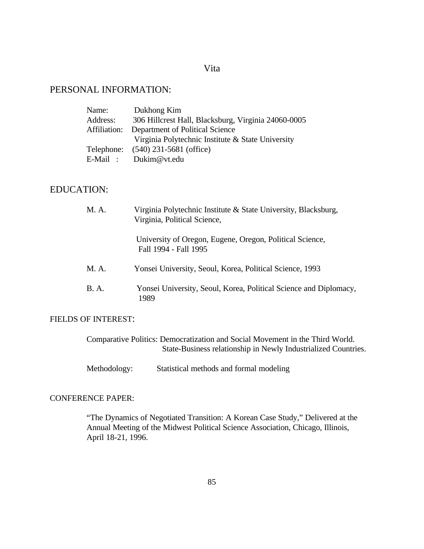### Vita

## PERSONAL INFORMATION:

| Name:    | Dukhong Kim                                         |
|----------|-----------------------------------------------------|
| Address: | 306 Hillcrest Hall, Blacksburg, Virginia 24060-0005 |
|          | Affiliation: Department of Political Science        |
|          | Virginia Polytechnic Institute & State University   |
|          | Telephone: (540) 231-5681 (office)                  |
|          | E-Mail: Dukim@vt.edu                                |

# EDUCATION:

| M. A.        | Virginia Polytechnic Institute & State University, Blacksburg,<br>Virginia, Political Science, |
|--------------|------------------------------------------------------------------------------------------------|
|              | University of Oregon, Eugene, Oregon, Political Science,<br>Fall 1994 - Fall 1995              |
| M. A.        | Yonsei University, Seoul, Korea, Political Science, 1993                                       |
| <b>B.</b> A. | Yonsei University, Seoul, Korea, Political Science and Diplomacy,<br>1989                      |

#### FIELDS OF INTEREST:

| Comparative Politics: Democratization and Social Movement in the Third World. |
|-------------------------------------------------------------------------------|
| State-Business relationship in Newly Industrialized Countries.                |

Methodology: Statistical methods and formal modeling

## CONFERENCE PAPER:

 "The Dynamics of Negotiated Transition: A Korean Case Study," Delivered at the Annual Meeting of the Midwest Political Science Association, Chicago, Illinois, April 18-21, 1996.